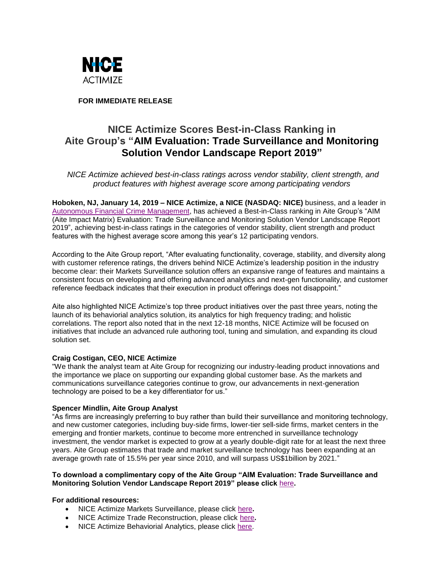

**FOR IMMEDIATE RELEASE**

# **NICE Actimize Scores Best-in-Class Ranking in Aite Group's "AIM Evaluation: Trade Surveillance and Monitoring Solution Vendor Landscape Report 2019"**

*NICE Actimize achieved best-in-class ratings across vendor stability, client strength, and product features with highest average score among participating vendors*

**Hoboken, NJ, January 14, 2019 – NICE Actimize, a NICE (NASDAQ: NICE)** business, and a leader in [Autonomous Financial Crime Management,](https://www.niceactimize.com/autonomous) has achieved a Best-in-Class ranking in Aite Group's "AIM (Aite Impact Matrix) Evaluation: Trade Surveillance and Monitoring Solution Vendor Landscape Report 2019", achieving best-in-class ratings in the categories of vendor stability, client strength and product features with the highest average score among this year's 12 participating vendors.

According to the Aite Group report, "After evaluating functionality, coverage, stability, and diversity along with customer reference ratings, the drivers behind NICE Actimize's leadership position in the industry become clear: their Markets Surveillance solution offers an expansive range of features and maintains a consistent focus on developing and offering advanced analytics and next-gen functionality, and customer reference feedback indicates that their execution in product offerings does not disappoint."

Aite also highlighted NICE Actimize's top three product initiatives over the past three years, noting the launch of its behaviorial analytics solution, its analytics for high frequency trading; and holistic correlations. The report also noted that in the next 12-18 months, NICE Actimize will be focused on initiatives that include an advanced rule authoring tool, tuning and simulation, and expanding its cloud solution set.

# **Craig Costigan, CEO, NICE Actimize**

"We thank the analyst team at Aite Group for recognizing our industry-leading product innovations and the importance we place on supporting our expanding global customer base. As the markets and communications surveillance categories continue to grow, our advancements in next-generation technology are poised to be a key differentiator for us."

# **Spencer Mindlin, Aite Group Analyst**

"As firms are increasingly preferring to buy rather than build their surveillance and monitoring technology, and new customer categories, including buy-side firms, lower-tier sell-side firms, market centers in the emerging and frontier markets, continue to become more entrenched in surveillance technology investment, the vendor market is expected to grow at a yearly double-digit rate for at least the next three years. Aite Group estimates that trade and market surveillance technology has been expanding at an average growth rate of 15.5% per year since 2010, and will surpass US\$1billion by 2021."

## **To download a complimentary copy of the Aite Group "AIM Evaluation: Trade Surveillance and Monitoring Solution Vendor Landscape Report 2019" please click** [here](http://www.niceactimize.com/compliance/aite-surveillance-report.html)**.**

# **For additional resources:**

- NICE Actimize Markets Surveillance, please click [here](https://www.niceactimize.com/compliance/market-surveillance.html)**.**
- NICE Actimize Trade Reconstruction, please click [here](https://www.niceactimize.com/compliance/trade-reconstruction.html)**.**
- NICE Actimize Behaviorial Analytics, please click [here.](https://www.niceactimize.com/compliance/holistic-behavioral-analytics.html)